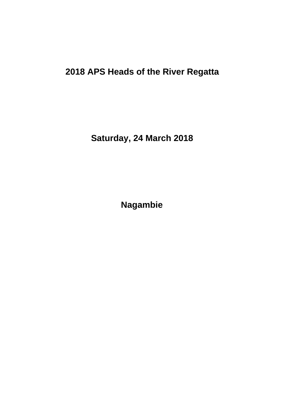# **2018 APS Heads of the River Regatta**

**Saturday, 24 March 2018**

**Nagambie**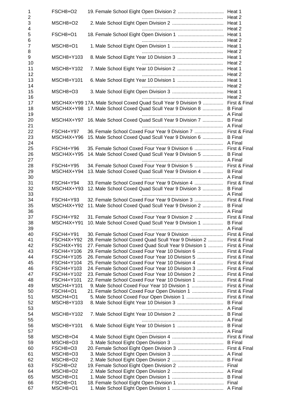| 1                   | FSCH8+O2                       |                                                                                                      |                                 |
|---------------------|--------------------------------|------------------------------------------------------------------------------------------------------|---------------------------------|
| $\overline{c}$<br>3 | MSCH8+O2                       |                                                                                                      |                                 |
| 4                   |                                |                                                                                                      |                                 |
| 5                   | FSCH8+O1                       |                                                                                                      |                                 |
| 6                   |                                |                                                                                                      |                                 |
| 7                   | MSCH8+O1                       |                                                                                                      | Heat 1                          |
| 8<br>9              | MSCH8+Y103                     |                                                                                                      | Heat 2<br>Heat 1                |
| 10                  |                                |                                                                                                      | Heat 2                          |
| 11                  | MSCH8+Y102                     |                                                                                                      | Heat 1                          |
| 12                  |                                |                                                                                                      | Heat 2                          |
| 13<br>14            | MSCH8+Y101                     |                                                                                                      | Heat 1<br>Heat 2                |
| 15                  | MSCH8+O3                       |                                                                                                      | Heat 1                          |
| 16<br>17            |                                | MSCH4X+Y99 17A. Male School Coxed Quad Scull Year 9 Division 9                                       | Heat 2<br>First & Final         |
| 18                  |                                | MSCH4X+Y98 17. Male School Coxed Quad Scull Year 9 Division 8                                        | <b>B</b> Final                  |
| 19                  |                                |                                                                                                      | A Final                         |
| 20                  |                                | MSCH4X+Y97 16. Male School Coxed Quad Scull Year 9 Division 7                                        | <b>B</b> Final                  |
| 21                  |                                |                                                                                                      |                                 |
| 22<br>23            | FSCH4+Y97<br>MSCH4X+Y96        | 36. Female School Coxed Four Year 9 Division 7<br>15. Male School Coxed Quad Scull Year 9 Division 6 | First & Final<br><b>B</b> Final |
| 24                  |                                |                                                                                                      |                                 |
| 25                  | FSCH4+Y96                      | 35. Female School Coxed Four Year 9 Division 6                                                       | First & Final                   |
| 26                  | MSCH4X+Y95                     | 14. Male School Coxed Quad Scull Year 9 Division 5                                                   | <b>B</b> Final                  |
| 27                  |                                |                                                                                                      | A Final                         |
| 28<br>29            | <b>FSCH4+Y95</b><br>MSCH4X+Y94 | 34. Female School Coxed Four Year 9 Division 5<br>13. Male School Coxed Quad Scull Year 9 Division 4 | First & Final<br><b>B</b> Final |
| 30                  |                                |                                                                                                      | A Final                         |
| 31                  | FSCH4+Y94                      | 33. Female School Coxed Four Year 9 Division 4                                                       | First & Final                   |
| 32                  | MSCH4X+Y93                     | 12. Male School Coxed Quad Scull Year 9 Division 3                                                   | <b>B</b> Final                  |
| 33                  |                                |                                                                                                      | A Final                         |
| 34<br>35            | FSCH4+Y93<br>MSCH4X+Y92        | 32. Female School Coxed Four Year 9 Division 3<br>11. Male School Coxed Quad Scull Year 9 Division 2 | First & Final<br><b>B</b> Final |
| 36                  |                                |                                                                                                      | A Final                         |
| 37                  | <b>FSCH4+Y92</b>               | 31. Female School Coxed Four Year 9 Division 2                                                       | First & Final                   |
| 38                  | MSCH4X+Y91                     | 10. Male School Coxed Quad Scull Year 9 Division 1                                                   | <b>B</b> Final                  |
| 39                  |                                |                                                                                                      | A Final                         |
| 40<br>41            | FSCH4+Y91<br>FSCH4X+Y92        | 28. Female School Coxed Quad Scull Year 9 Division 2                                                 | First & Final<br>First & Final  |
| 42                  | FSCH4X+Y91                     | 27. Female School Coxed Quad Scull Year 9 Division 1                                                 | First & Final                   |
| 43                  | FSCH4+Y106                     | 29. Female School Coxed Four Year 10 Division 6                                                      | First & Final                   |
| 44                  | FSCH4+Y105                     | 26. Female School Coxed Four Year 10 Division 5                                                      | First & Final                   |
| 45                  | FSCH4+Y104                     | 25. Female School Coxed Four Year 10 Division 4                                                      | First & Final                   |
| 46                  | FSCH4+Y103                     | 24. Female School Coxed Four Year 10 Division 3                                                      | First & Final                   |
| 47                  | FSCH4+Y102                     | 23. Female School Coxed Four Year 10 Division 2                                                      | First & Final                   |
| 48                  | FSCH4+Y101                     | 22. Female School Coxed Four Year 10 Division 1                                                      | First & Final                   |
| 49<br>50            | MSCH4+Y101<br>FSCH4+O1         |                                                                                                      | First & Final<br>First & Final  |
| 51                  | MSCH4+O1                       |                                                                                                      | First & Final                   |
| 52                  | MSCH8+Y103                     |                                                                                                      | <b>B</b> Final                  |
| 53                  |                                |                                                                                                      |                                 |
| 54                  | MSCH8+Y102                     |                                                                                                      |                                 |
| 55                  |                                |                                                                                                      |                                 |
| 56<br>57            | MSCH8+Y101                     |                                                                                                      |                                 |
| 58                  | MSCH8+O4                       |                                                                                                      |                                 |
| 59                  | MSCH8+O3                       |                                                                                                      |                                 |
| 60                  | FSCH8+O3                       |                                                                                                      |                                 |
| 61                  | MSCH8+O3                       |                                                                                                      |                                 |
| 62                  | MSCH8+O2                       |                                                                                                      |                                 |
| 63                  | FSCH8+O2                       |                                                                                                      |                                 |
| 64                  | MSCH8+O2                       |                                                                                                      |                                 |
| 65<br>66            | MSCH8+O1<br>FSCH8+O1           |                                                                                                      |                                 |
| 67                  | MSCH8+O1                       |                                                                                                      |                                 |
|                     |                                |                                                                                                      |                                 |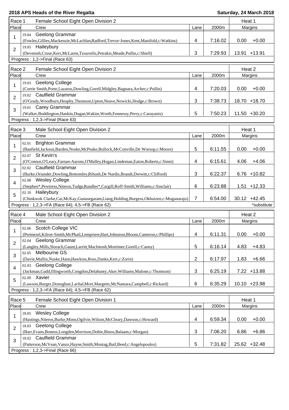| Race 1                                      | Female School Eight Open Division 2 |                                                                                                                   | Heat 1         |         |                   |
|---------------------------------------------|-------------------------------------|-------------------------------------------------------------------------------------------------------------------|----------------|---------|-------------------|
| Place                                       |                                     | Crew                                                                                                              | Lane           | 2000m   | Margins           |
| 1                                           | 19.04                               | Geelong Grammar<br>(Fowles, Gillies, Mackenzie, McLachlan, Radford, Trevor-Jones, Kent, Manifold, c: Watkins)     | 4              | 7:16.02 | 0.00<br>$+0.00$   |
| $\overline{2}$                              | 19.05                               | Haileybury<br>(Devenish, Cruse, Kerr, McLaren, Tzouvelis, Petrakis, Meade, Pullin, c: Shiell)                     | 3              | 7:29.93 | 13.91 +13.91      |
|                                             |                                     | Progress: 1,2->Final (Race 63)                                                                                    |                |         |                   |
| Race 2                                      |                                     | Female School Eight Open Division 2                                                                               |                |         | Heat 2            |
| Place                                       |                                     | Crew                                                                                                              | Lane           | 2000m   | Margins           |
|                                             | 19.03                               | <b>Geelong College</b>                                                                                            |                |         |                   |
| 1                                           |                                     | (Corrie Smith, Porte, Lazarus, Dowling, Gorell, Midgley, Bagnara, Archer, c: Pullin)                              | 4              | 7:20.03 | 0.00<br>$+0.00$   |
|                                             |                                     | 19.02 Caulfield Grammar                                                                                           |                |         |                   |
| 2                                           |                                     | (O'Grady, Woodburn, Heaphy, Thomson, Upton, Neave, Nowicki, Hodge, c: Brown)                                      | 3              | 7:38.73 | 18.70 +18.70      |
| 3                                           |                                     | 19.01 Carey Grammar                                                                                               |                |         |                   |
|                                             |                                     | (Walker, Boddington, Hankin, Dugan, Wakim, Worth, Fennessy, Perry, c: Carayanis)                                  | 5              | 7:50.23 | 11.50 +30.20      |
|                                             |                                     | Progress: 1,2,3->Final (Race 63)                                                                                  |                |         |                   |
| Race 3<br>Male School Eight Open Division 2 |                                     |                                                                                                                   |                |         |                   |
| Place                                       |                                     | Crew                                                                                                              | Lane           | 2000m   | Heat 1<br>Margins |
|                                             | 02.01                               | <b>Brighton Grammar</b>                                                                                           |                |         |                   |
| 1                                           |                                     | (Banfield,Jackson,Barden,Noske,McPeake,Bullock,McConville,De Worsop,c:Moore)                                      | 5              | 6:11.55 | 0.00<br>$+0.00$   |
|                                             |                                     | 02.07 St Kevin's                                                                                                  |                |         |                   |
| $\overline{2}$                              |                                     | (O'Connor, O'Leary, Farnan-Aarons, O'Malley, Hogan, Lindeman, Eaton, Roberts, c: Sinni)                           | 4              | 6:15.61 | 4.06<br>$+4.06$   |
| 3                                           |                                     | 02.02 Caulfield Grammar                                                                                           |                |         |                   |
|                                             |                                     | (Burke, Oriander, Dowling, Bottomley, Ribush, De Nardis, Brandt, Drewitt, c: Clifford)                            | 3              | 6:22.37 | $6.76 + 10.82$    |
| 4                                           |                                     | 02.08 Wesley College                                                                                              |                |         |                   |
|                                             |                                     | (Stephen*,Pewtress,Niteros,Tudge,Randles*,Cargill,Roff-Smith,Williams,c:Sinclair)                                 | 6              | 6:23.88 | $1.51 + 12.33$    |
| 5                                           |                                     | 02.10 Haileybury                                                                                                  |                |         |                   |
|                                             |                                     | (Chinkwok Clarke, Cai, McKay, Gunasegaram, Liang, Holding, Burgess, Okhuizen, c: Moganaraju)                      | 7              | 6:54.00 | $30.12 +42.45$    |
|                                             |                                     | Progress: 1,2,3->FA (Race 64); 4,5->FB (Race 62)                                                                  |                |         | *substitute       |
| Race 4                                      |                                     | Male School Eight Open Division 2                                                                                 |                |         | Heat 2            |
| Place                                       |                                     | Crew                                                                                                              | Lane           | 2000m   | Margins           |
| 1                                           | 02.06                               | Scotch College VIC                                                                                                |                |         |                   |
|                                             |                                     | (Permezel, Kilroe-Smith, McPhail, Lempriere, Hart, Johnston, Bloom, Cameron, c: Phillips)                         | 4              | 6:11.31 | 0.00<br>$+0.00$   |
| $\overline{2}$                              | 02.04                               | <b>Geelong Grammar</b>                                                                                            |                |         |                   |
|                                             |                                     | (Langley, Mills, Slorach, Gaunt, Larritt, MacIntosh, Mortimer, Gorell, c: Canny)                                  | 5              | 6:16.14 | 4.83<br>$+4.83$   |
| 3                                           |                                     | 02.05 Melbourne GS                                                                                                |                |         |                   |
|                                             |                                     | (Davie, Mullin, Nuske, Hann, Hawkins, Ross, Danks, Kerr, c: Zorin)                                                | $\overline{2}$ | 6:17.97 | 1.83<br>$+6.66$   |
| 4                                           |                                     | 02.03 Geelong College                                                                                             |                |         |                   |
|                                             |                                     | (Jackman, Gadd, Illingworth, Congdon, Delahunty, Aker, Williams, Malone, c: Thomson)<br>02.09 Xavier              | 3              | 6:25.19 | 7.22 +13.88       |
| 5                                           |                                     | (Lawson,Burger,Donoghue,Lachal,Mort,Margetts,McNamara,Campbell,c:Rickard)                                         | 6              | 6:35.29 | 10.10 +23.98      |
|                                             |                                     | Progress: 1,2,3->FA (Race 64); 4,5->FB (Race 62)                                                                  |                |         |                   |
|                                             |                                     |                                                                                                                   |                |         |                   |
| Race 5                                      |                                     | Female School Eight Open Division 1                                                                               |                |         | Heat 1            |
| Place                                       |                                     | Crew                                                                                                              | Lane           | 2000m   | Margins           |
| 1                                           | 18.05                               | <b>Wesley College</b>                                                                                             |                |         |                   |
|                                             |                                     | (Hastings, Niteros, Burke, Mims, Ogilvie, Wilson, McCleary, Dawson, c: Howard)                                    | 4              | 6:59.34 | 0.00<br>$+0.00$   |
| $\overline{2}$                              |                                     | 18.03 Geelong College                                                                                             |                |         |                   |
|                                             |                                     | (Barr, Evans, Boness, Longden, Morrison, Dobie, Binos, Balaam, c: Morgan)                                         | 3              | 7:06.20 | 6.86<br>$+6.86$   |
| 3                                           |                                     | 18.02 Caulfield Grammar                                                                                           | 5              | 7:31.82 | 25.62 +32.48      |
|                                             |                                     | (Patterson, McVean, Vanzo, Hayne, Smith, Montag, Bail, Beed, c: Angelopoulos)<br>Progress: 1,2,3->Final (Race 66) |                |         |                   |
|                                             |                                     |                                                                                                                   |                |         |                   |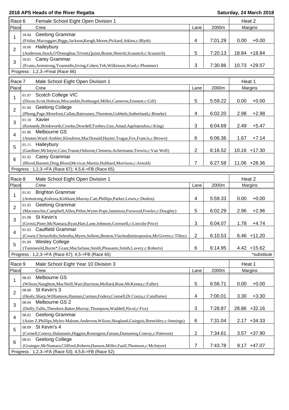| Race 6         | Female School Eight Open Division 1                                                                                |                |         | Heat 2          |
|----------------|--------------------------------------------------------------------------------------------------------------------|----------------|---------|-----------------|
| Place          | Crew                                                                                                               | Lane           | 2000m   | Margins         |
|                | Geelong Grammar<br>18.04                                                                                           |                |         |                 |
| 1              | (Friday, Mactaggart, Biggs, Jackson, Keogh, Moore, Pickard, Atkins, c: Blyth)                                      | 4              | 7:01.29 | 0.00<br>$+0.00$ |
| $\overline{2}$ | 18.06 Haileybury                                                                                                   |                |         |                 |
|                | (Anderson, Stock, O'Donoghue, Trivett, Quinn, Braim, Sherritt, Scaunich, c: Scaunich)                              | 5              | 7:20.13 | 18.84 +18.84    |
| 3              | 18.01 Carey Grammar                                                                                                |                |         |                 |
|                | (Evans, Armstrong, Yoannidis, Irving, Cohen, Teh, Wilkinson, Ward, c: Plummer)                                     | 3              | 7:30.86 | 10.73 +29.57    |
|                | Progress: 1,2,3->Final (Race 66)                                                                                   |                |         |                 |
| Race 7         | Male School Eight Open Division 1                                                                                  |                |         | Heat 1          |
| Place          | Crew                                                                                                               | Lane           | 2000m   | Margins         |
|                | 01.07 Scotch College VIC                                                                                           |                |         |                 |
| 1              | (Dixon,Scott,Hobson,Miscamble,Nothnagel,Miller,Cameron,Emmett,c:Gill)                                              | 5              | 5:59.22 | 0.00<br>$+0.00$ |
|                | 01.04 Geelong College                                                                                              |                |         |                 |
| $\overline{2}$ | (Phung, Page, Moorfoot, Callan, Batrouney, Thornton, Gubbels, Sutherland, c: Bourke)                               | 4              | 6:02.20 | $+2.98$<br>2.98 |
| 3              | 01.10 Xavier                                                                                                       |                |         |                 |
|                | (Kennedy,Brinkworth,Crooke,Dowdell,Toohey,Guy,Amad,Agelopoulos,c:King)                                             | 3              | 6:04.69 | $+5.47$<br>2.49 |
| 4              | 01.06 Melbourne GS                                                                                                 |                |         |                 |
|                | (Anstee, Ward-Ambler, Kloufetos, MacDonald, Hayter, Tragas, Fox, Francis, c: Brown)                                | 6              | 6:06.36 | $+7.14$<br>1.67 |
| 5              | 01.11 Haileybury                                                                                                   |                |         |                 |
|                | (Gardiner, McIntyre, Cain, Traum, Osborne, Clemens, Achermann, Trewin, c: Van Well)                                | 2              | 6:16.52 | 10.16 +17.30    |
| 6              | 01.02 Carey Grammar                                                                                                |                |         |                 |
|                | (Blood,Barnett,Ding,Blood,Mcvicar,Martin,Hubbard,Morrison,c:Arnold)                                                | 7              | 6:27.58 | 11.06 +28.36    |
|                | Progress: 1,2,3->FA (Race 67); 4,5,6->FB (Race 65)                                                                 |                |         |                 |
| Race 8         | Male School Eight Open Division 1                                                                                  |                |         | Heat 2          |
| Place          | Crew                                                                                                               | Lane           | 2000m   | Margins         |
| 1              | <b>Brighton Grammar</b><br>01.01                                                                                   |                |         |                 |
|                | (Armstrong, Kulesza, Kirkham, Murray, Catt, Phillips, Parker, Lewis, c: Durkin)                                    | 4              | 5:59.33 | 0.00<br>$+0.00$ |
| $\overline{2}$ | <b>Geelong Grammar</b><br>01.05                                                                                    |                |         |                 |
|                | (Maconochie, Campbell, Allen, Pithie, Wynn-Pope, Jamieson, Forwood, Fowler, c: Doughty)                            | 5              | 6:02.29 | 2.96<br>$+2.96$ |
| 3              | 01.08 St Kevin's                                                                                                   |                |         |                 |
|                | (Grossi, Piner, McNamara, Ryan, Hart, Lane, Johnson, Cornwell, c: Lincoln-Price)                                   | 3              | 6:04.07 | 1.78<br>$+4.74$ |
| 4              | 01.03 Caulfield Grammar<br>(Cowie,Christofidis,Selemba,Myers,Sellens,Benton,Vlachodimitropoulos,McGivern,c:Tilley) | $\overline{2}$ | 6:10.53 | $6.46 + 11.20$  |
|                | <b>Wesley College</b><br>01.09                                                                                     |                |         |                 |
| 5              | (Tammesild, Burns*, Grant, Macfarlane, Smith, Pleasants, Smith, Lavery, c: Roberts)                                | 6              | 6:14.95 | $4.42 + 15.62$  |
|                | Progress: 1,2,3->FA (Race 67); 4,5->FB (Race 65)                                                                   |                |         | *substitute     |
|                |                                                                                                                    |                |         |                 |
| Race 9         | Male School Eight Year 10 Division 3                                                                               |                |         | Heat 1          |
| Place          | Crew                                                                                                               | Lane           | 2000m   | Margins         |
| 1              | Melbourne GS<br>08.03                                                                                              |                |         |                 |
|                | (Wilson, Naughton, MacNeill, Warr, Harrison, Mollard, Rose, McKenna, c: Fuller)                                    | 5              | 6:56.71 | 0.00<br>$+0.00$ |
| $\overline{2}$ | St Kevin's 3<br>08.08                                                                                              |                |         |                 |
|                | (Healy,Sharp,Williamson,Hannan,Carman,Fodera,Connell,Di Conza,c:Catalfamo)<br>Melbourne GS 2<br>08.04              | 4              | 7:00.01 | $+3.30$<br>3.30 |
| 3              | (Duffy,Tallis,Theodore,Baker,Murray,Thompson,Waddell,Nicol,c:Fox)                                                  | 3              | 7:28.87 | 28.86 +32.16    |
|                | 08.02 Geelong Grammar                                                                                              |                |         |                 |
| $\overline{4}$ | (Asim Z, Phillips, Myles-Malone, Anderson, Wilson, Skoglund, Guirguis, Brenchley, c: Jennings)                     | 6              | 7:31.04 | $2.17 + 34.33$  |
|                | St Kevin's 4<br>08.09                                                                                              |                |         |                 |
| 5              | (Cornell,Conroy,Halastanis,Higgins,Rosengren,Farnan,Dumaresq,Conroy,c:Paterson)                                    | $\mathbf{2}$   | 7:34.61 | $3.57 + 37.90$  |
|                | <b>Geelong College</b><br>08.01                                                                                    |                |         |                 |
| 6              | (Grainger, McNamara, Clifford, Roberts, Hanson, Miller, Faull, Thomson, c: McIntyre)                               | 7              | 7:43.78 | $9.17 +47.07$   |
|                | Progress: 1,2,3->FA (Race 53); 4,5,6->FB (Race 52)                                                                 |                |         |                 |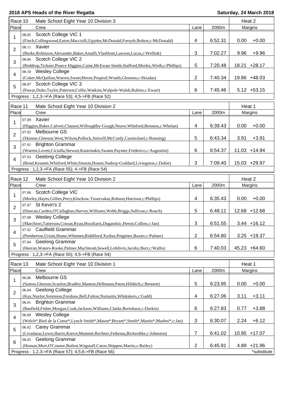| Race 10        |       | Male School Eight Year 10 Division 3                                                                          |                         |         | Heat 2         |             |
|----------------|-------|---------------------------------------------------------------------------------------------------------------|-------------------------|---------|----------------|-------------|
| Place          |       | Crew                                                                                                          | Lane                    | 2000m   | Margins        |             |
|                | 08.05 | Scotch College VIC 1                                                                                          |                         |         |                |             |
| 1              |       | (Finch, Collingwood, Eaton, Macciolli, Upjohn, McDonald, Forsyth, Bolton, c: McDonald)                        | 4                       | 6:52.31 | 0.00           | $+0.00$     |
|                | 08.11 | Xavier                                                                                                        |                         |         |                |             |
| $\overline{c}$ |       | (Burke, Robinson, Alexander, Baker, Amalfi, Vlasblom, Lawson, Lucas, c: Wellink)                              | 3                       | 7:02.27 | 9.96           | $+9.96$     |
|                |       | 08.06 Scotch College VIC 2                                                                                    |                         |         |                |             |
| 3              |       | (Reddrop,Tickner,Pearce Higgins,Caine,McEwan-Smith,Stafford,Morley,Wirth,c:Phillips)                          | 5                       | 7:20.48 | 18.21          | $+28.17$    |
|                |       | 08.10 Wesley College                                                                                          |                         |         |                |             |
| 4              |       |                                                                                                               | $\overline{2}$          | 7:40.34 |                |             |
|                |       | (Coker, McQuillan, Warren, Sweet, Heron, Pospisil, Wraith, Glennon, c: Skiadas)<br>08.07 Scotch College VIC 3 |                         |         | 19.86 +48.03   |             |
| 5              |       |                                                                                                               |                         |         |                |             |
|                |       | (Pawar, Duke, Taylor, Paterson, Collie, Watkins, Walpole-Walsh, Rubins, c: Ewart)                             | 6                       | 7:45.46 | $5.12 + 53.15$ |             |
|                |       | Progress: 1,2,3->FA (Race 53); 4,5->FB (Race 52)                                                              |                         |         |                |             |
| Race 11        |       | Male School Eight Year 10 Division 2                                                                          |                         |         | Heat 1         |             |
| Place          |       | Crew                                                                                                          | Lane                    | 2000m   | Margins        |             |
|                | 07.09 | Xavier                                                                                                        |                         |         |                |             |
| 1              |       |                                                                                                               | 4                       | 6:39.43 | 0.00           | $+0.00$     |
|                | 07.05 | (Higgins, Baker, Calvert, Clausen, Willoughby-Gough, Neave, Whitford, Benston, c: Whelan)<br>Melbourne GS     |                         |         |                |             |
| $\overline{2}$ |       |                                                                                                               |                         |         |                |             |
|                |       | (Skinner, Gleeson, West, Wilson, Pollock, Attiwill, McCurdy, Carmichael, c: Ronning)                          | 5                       | 6:43.34 | 3.91           | $+3.91$     |
| 3              | 07.01 | <b>Brighton Grammar</b>                                                                                       |                         |         |                |             |
|                |       | (Warren,Lovett,Ciciulla,Stewart,Kastrinakis,Swann,Paynter,Frederico,c:Augustini)                              | 6                       | 6:54.37 | 11.03 +14.94   |             |
| 4              |       | 07.03 Geelong College                                                                                         |                         |         |                |             |
|                |       | (Bond, Kennett, Whitford, White, Sinnott, Houen, Nadorp-Goddard, Livingston, c: Dobie)                        | 3                       | 7:09.40 | 15.03 +29.97   |             |
|                |       | Progress: 1,2,3->FA (Race 55); 4->FB (Race 54)                                                                |                         |         |                |             |
| Race 12        |       | Male School Eight Year 10 Division 2                                                                          |                         |         | Heat 2         |             |
| Place          |       | Crew                                                                                                          | Lane                    | 2000m   | Margins        |             |
|                |       | Scotch College VIC                                                                                            |                         |         |                |             |
| 1              | 07.06 |                                                                                                               | $\overline{\mathbf{4}}$ |         | 0.00           | $+0.00$     |
|                |       | (Morley, Hayes, Gillies, Perry, Kluckow, Tsourvakas, Robson, Harrison, c: Phillips)<br>07.07 St Kevin's 2     |                         | 6:35.43 |                |             |
| $\overline{2}$ |       |                                                                                                               |                         |         |                |             |
|                |       | (Duncan, Carden, O'Callaghan, Harvey, Williams, Webb, Briggs, Sullivan, c: Roach)                             | 5                       | 6:48.11 | 12.68 +12.68   |             |
| 3              |       | 07.08 Wesley College                                                                                          |                         |         |                |             |
|                |       | (Marchiori, Tatterson, Cowan, Ryan, Horafiaris, Dugandzic, Heron, Collins, c: Jan)                            | 3                       | 6:51.55 | $3.44 + 16.12$ |             |
| 4              |       | 07.02 Caulfield Grammar                                                                                       |                         |         |                |             |
|                |       | (Pemberton, Ursini, Hume, Whitmee, Riddiford, Xydias, Potgieter, Baxter, c: Palmer)                           | $\overline{c}$          | 6:54.80 | $3.25 + 19.37$ |             |
| 5              | 07.04 | <b>Geelong Grammar</b>                                                                                        |                         |         |                |             |
|                |       | (Heeran, Waters-Rooke, Palmer, MacIntosh, Sewell, Lefebvre, Jacoby, Burt, c: Wallis)                          | 6                       | 7:40.03 | 45.23 +64.60   |             |
|                |       | Progress: 1,2,3->FA (Race 55); 4,5->FB (Race 54)                                                              |                         |         |                |             |
| Race 13        |       | Male School Eight Year 10 Division 1                                                                          |                         |         | Heat 1         |             |
| Place          |       | Crew                                                                                                          | Lane                    | 2000m   | Margins        |             |
|                | 06.06 | Melbourne GS                                                                                                  |                         |         |                |             |
| 1              |       | (Sutton, Gleeson, Scanlon, Bradley, Manton, Hellmann, Paton, Hilditch, c: Bennett)                            | 5                       | 6:23.95 | 0.00           | $+0.00$     |
|                |       | 06.04 Geelong College                                                                                         |                         |         |                |             |
| $\overline{2}$ |       |                                                                                                               | $\overline{\mathbf{4}}$ |         |                |             |
|                |       | (Kay, Naylor, Sorenson, Forshaw, Bell, Fulton, Nurnaitis, Whittakers, c: Gadd)                                |                         | 6:27.06 | 3.11           | $+3.11$     |
| 3              |       | 06.01 Brighton Grammar                                                                                        |                         |         |                |             |
|                |       | (Banfield,Fisher,Morgan,Cook,Jackson,Williams,Clarke,Bortolussi,c:Durkin)                                     | $\,6$                   | 6:27.83 | 0.77           | $+3.88$     |
| 4              |       | 06.09 Wesley College                                                                                          |                         |         |                |             |
|                |       | (Welch*,Bird de la Coeur*,Lynch Smith*,Mason*,Bryant*,Smith*,Martin*,Mashni*,c:Jan)                           | 3                       | 6:30.07 | 2.24           | $+6.12$     |
| 5              |       | 06.02 Carey Grammar                                                                                           |                         |         |                |             |
|                |       | (Livadaras,Lewis,Harris,Kierce,Mummé,Rechner,Feikema,Bickerdike,c:Johnston)                                   | $\overline{7}$          | 6:41.02 | 10.95 +17.07   |             |
| 6              | 06.05 | <b>Geelong Grammar</b>                                                                                        |                         |         |                |             |
|                |       | (Homan, Mort, O'Connor, Bufton, Wagstaff, Caton, Shippen, Martin, c: Bailey)                                  | $\overline{2}$          | 6:45.91 | 4.89 +21.96    |             |
|                |       | Progress: 1,2,3->FA (Race 57); 4,5,6->FB (Race 56)                                                            |                         |         |                | *substitute |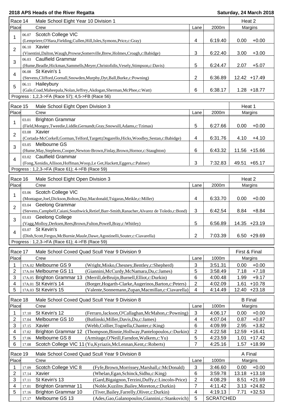|                         | Race 14<br>Male School Eight Year 10 Division 1 |                                                                                                                                    |                         | Heat 2           |                   |
|-------------------------|-------------------------------------------------|------------------------------------------------------------------------------------------------------------------------------------|-------------------------|------------------|-------------------|
| Place                   |                                                 | Crew                                                                                                                               | Lane                    | 2000m            | Margins           |
| 1                       | 06.07                                           | Scotch College VIC                                                                                                                 |                         |                  |                   |
|                         |                                                 | (Lempriere, O'Hara, Fielding, Cullen, Hill, Isles, Symons, Price, c: Gray)                                                         | 4                       | 6:19.40          | 0.00<br>$+0.00$   |
| $\overline{2}$          |                                                 | 06.10 Xavier                                                                                                                       |                         |                  |                   |
|                         |                                                 | (Visentini, Dalton, Waugh, Prowse, Somerville, Brew, Holmes, Croagh, c: Babidge)                                                   | 3                       | 6:22.40          | 3.00<br>$+3.00$   |
| 3                       | 06.03                                           | <b>Caulfield Grammar</b>                                                                                                           |                         |                  |                   |
|                         |                                                 | (Hume, Beadle, Hickman, Sammells, Meyer, Christofidis, Vesely, Stimpson, c: Davis)                                                 | 5                       | 6:24.47          | $+5.07$<br>2.07   |
| 4                       |                                                 | 06.08 St Kevin's 1                                                                                                                 |                         |                  |                   |
|                         |                                                 | (Stevens, Clifford, Gornall, Snowden, Murphy, Dyt, Ball, Burke, c: Powning)                                                        | $\overline{2}$          | 6:36.89          | 12.42 +17.49      |
| 5                       |                                                 | 06.11 Haileybury                                                                                                                   |                         |                  |                   |
|                         |                                                 | (Gale,Coad,Maheepala,Nolan,Jeffrey,Akdogan,Sherman,McPhee,c:Watt)                                                                  | 6                       | 6:38.17          | $1.28 + 18.77$    |
|                         |                                                 | Progress: 1,2,3->FA (Race 57); 4,5->FB (Race 56)                                                                                   |                         |                  |                   |
| Race 15                 |                                                 | Male School Eight Open Division 3                                                                                                  |                         |                  | Heat 1            |
| Place                   |                                                 | Crew                                                                                                                               | Lane                    | 2000m            | Margins           |
| 1                       | 03.01                                           | <b>Brighton Grammar</b>                                                                                                            |                         |                  |                   |
|                         |                                                 | (Field, Mongey, Tweedie, Liddle, Gernandt, Gray, Snowsill, Adams, c: Tzimas)                                                       | 5                       | 6:27.66          | $+0.00$<br>0.00   |
| $\overline{\mathbf{c}}$ |                                                 | 03.08 Xavier                                                                                                                       |                         |                  |                   |
|                         |                                                 | (Cortada-McCorkell, Gorman, Telford, Targett, Ongarello, Hicks, Woodley, Sestan, c: Babidge)                                       | 4                       | 6:31.76          | 4.10<br>$+4.10$   |
| 3                       | 03.05                                           | Melbourne GS                                                                                                                       |                         |                  |                   |
|                         |                                                 | (Hume, May, Stephens, Cooper, Newton-Brown, Finlay, Brown, Hornor, c: Staughton)                                                   | 6                       | 6:43.32          | 11.56 +15.66      |
| 4                       |                                                 | 03.02 Caulfield Grammar                                                                                                            |                         |                  |                   |
|                         |                                                 | (Fong, Xenidis, Allison, Hoffman, Woop, Le Get, Hackett, Eggers, c: Palmer)                                                        | 3                       | 7:32.83          | 49.51 +65.17      |
|                         |                                                 | Progress: 1,2,3->FA (Race 61); 4->FB (Race 59)                                                                                     |                         |                  |                   |
| Race 16                 |                                                 | Male School Eight Open Division 3                                                                                                  |                         |                  | Heat 2            |
| Place                   |                                                 | Crew                                                                                                                               | Lane                    | 2000m            | Margins           |
| 1                       |                                                 | 03.06 Scotch College VIC                                                                                                           |                         |                  |                   |
|                         |                                                 | (Montague,Joel,Dickson,Bolton,Day,Macdonald,Tsigaras,Meikle,c:Miller)                                                              | $\overline{\mathbf{4}}$ | 6:33.70          | 0.00<br>$+0.00$   |
| $\overline{2}$          | 03.04                                           | Geelong Grammar                                                                                                                    |                         |                  |                   |
|                         |                                                 | (Stevens, Campbell, Caiani, Southwick, Retief, Barr-Smith, Ranacher, Alvarez de Toledo, c: Bond)                                   | 3                       | 6:42.54          | 8.84<br>$+8.84$   |
| 3                       |                                                 | 03.03 Geelong College                                                                                                              |                         |                  |                   |
|                         |                                                 | (Vagg, Molloy, Derksen, Rees, Brown, Fulton, Powell, Bray, c: Whitley)                                                             | 5                       | 6:56.89          | 14.35 +23.19      |
| 4                       |                                                 | 03.07 St Kevin's                                                                                                                   |                         |                  |                   |
|                         |                                                 | (Dinh, Scott, Fergus, McBurnie, Maule, Dawe, Agostinelli, Souter, c: Ciavarella)<br>Progress: 1,2,3->FA (Race 61); 4->FB (Race 59) | $\overline{\mathbf{c}}$ | 7:03.39          | 6.50 +29.69       |
|                         |                                                 |                                                                                                                                    |                         |                  |                   |
| Race 17                 |                                                 | Male School Coxed Quad Scull Year 9 Division 9                                                                                     |                         |                  | First & Final     |
| Place                   |                                                 | Crew                                                                                                                               | Lane                    | 1000m            | Margins           |
| 1                       |                                                 | 17A.02 Melbourne GS 9<br>(Wright, Misko, Chesney, Bentley, c: Shepherd)                                                            | $\mathbf{3}$            | 3:51.31          | $+0.00$<br>0.00   |
| 2                       |                                                 | 17A.04 Melbourne GS 11<br>(Giannini, McCurdy, McNamara, Du, c: James)                                                              | 5                       | 3:58.49          | 7.18<br>$+7.18$   |
| 3                       |                                                 | 17A.05 Brighton Grammar 13<br>(Merrill, de Bruijn, Burnell, Elliot, c: Durkin)                                                     | 6                       | 4:00.48          | $+9.17$<br>1.99   |
| 4                       |                                                 | 17A.01 St Kevin's 14<br>(Borger, Hogarth-Clarke, Augerinos, Barton, c: Peters)                                                     | $\sqrt{2}$              | 4:02.09          | 1.61<br>$+10.78$  |
| 5                       |                                                 | 17A.03 St Kevin's 15<br>(Valente, Sonnemann, Zupan, Macmillan, c: Ciavarella)                                                      | 4                       | 4:14.49          | $+23.18$<br>12.40 |
| Race 18                 |                                                 | Male School Coxed Quad Scull Year 9 Division 8                                                                                     |                         |                  | <b>B</b> Final    |
| Place                   |                                                 | Crew                                                                                                                               | Lane                    | 1000m            | Margins           |
| 1                       | 17.10                                           | St Kevin's 12<br>(Ferraro, Jackson, O'Callaghan, McMahon, c: Powning)                                                              | 3                       | 4:06.17          | $+0.00$<br>0.00   |
| 2                       | 17.04                                           | Melbourne GS 10<br>(Butlinski, Miller, Davis, Du, c: James)                                                                        | 4                       | 4:07.04          | 0.87<br>$+0.87$   |
| 3                       | 17.15                                           | Xavier<br>(Webb,Collier,Tognella,Chanter,c:King)                                                                                   | 6                       | 4:09.99          | 2.95<br>$+3.82$   |
| 4                       | 17.02                                           | Brighton Grammar 12 (Thompson, Binnie, Hollway, Pantelopoulos, c: Durkin)                                                          | $\overline{2}$          | 4:22.58          | 12.59<br>$+16.41$ |
| 5                       | 17.06                                           | Melbourne GS 8<br>(Armitage, O'Neill, Farndon, Walkem, c: Yu)                                                                      | 5                       | 4:23.59          | $+17.42$<br>1.01  |
| 6                       | 17.08                                           | Scotch College VIC 11 (Yu, Kyriazis, McLennan, Kent, c: Roberts)                                                                   | $\overline{7}$          | 4:25.16          | 1.57<br>$+18.99$  |
| Race 19                 |                                                 | Male School Coxed Quad Scull Year 9 Division 8                                                                                     |                         |                  | A Final           |
| Place                   |                                                 | Crew                                                                                                                               | Lane                    | 1000m            | Margins           |
| 1                       | 17.09                                           | Scotch College VIC 8<br>(Fyfe, Brown, Morrissey, Marshall, c: McDonald)                                                            | $\mathbf{3}$            | 3:46.60          | 0.00<br>$+0.00$   |
| 2                       | 17.14                                           | Xavier<br>(Whelan, Egan, Schinck, Sidhu, c: King)                                                                                  | $\,6$                   | 3:59.78          | $+13.18$<br>13.18 |
| 3                       | 17.11                                           | St Kevin's 13<br>(Gard, Bigaignon, Terzini, Duffy, c: Lincoln-Price)                                                               | $\overline{c}$          | 4:08.29          | 8.51<br>$+21.69$  |
| 4                       | 17.01                                           | <b>Brighton Grammar 11</b><br>(Noble, Kuzilny, Bailey, Moreton, c: Durkin)                                                         | $\overline{7}$          | 4:11.42          | $3.13 +24.82$     |
| 5                       | 17.16                                           | <b>Brighton Grammar 10</b><br>(Tiver, Bailey, Farrelly, Oliver, c: Durkin)                                                         | 4                       | 4:19.13          | 7.71<br>$+32.53$  |
|                         | 17.17                                           | Melbourne GS 13<br>(Ades, Gao, Galanopoulos, Giannini, c: Stankovich)                                                              | 5                       | <b>SCRATCHED</b> |                   |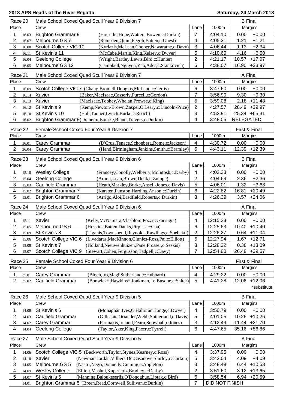| Race 20                 | Male School Coxed Quad Scull Year 9 Division 7                                  |                |          | <b>B</b> Final    |  |
|-------------------------|---------------------------------------------------------------------------------|----------------|----------|-------------------|--|
| Place                   | Crew                                                                            | Lane           | 1000m    | Margins           |  |
| 1<br>16.03              | <b>Brighton Grammar 9</b><br>(Houridis, Hope, Watters, Bowen, c: Durkin)        | 7              | 4:04.10  | $+0.00$<br>0.00   |  |
| $\overline{c}$<br>16.07 | Melbourne GS 7<br>(Ramsden, Qium, Pegoli, Batten, c: Guest)                     | 4              | 4:05.31  | $+1.21$<br>1.21   |  |
| 3<br>16.08              | Scotch College VIC 10<br>(Kyriazis, McLean, Cooper, Nawaratne, c: Davy)         | $\mathbf{3}$   | 4:06.44  | $+2.34$<br>1.13   |  |
| 4<br>16.11              | St Kevin's 11<br>(McCabe, Martin, King, Kelsey, c: Dwyer)                       | 5              | 4:10.60  | 4.16<br>$+6.50$   |  |
| 5<br>16.04              | Geelong College<br>(Wright,Bartley,Lewis,Bird,c:Hunter)                         | $\overline{2}$ | 4:21.17  | $+17.07$<br>10.57 |  |
| 6<br>16.05              | Melbourne GS 12<br>(Campbell, Nguyen, Yao, Ades, c: Stankovich)                 | 6              | 4:38.07  | 16.90<br>$+33.97$ |  |
|                         |                                                                                 |                |          |                   |  |
| Race 21                 | Male School Coxed Quad Scull Year 9 Division 7                                  |                |          | A Final           |  |
| Place                   | Crew                                                                            | Lane           | 1000m    | Margins           |  |
| 1<br>16.09              | Scotch College VIC 7 (Chang, Bromell, Douglas, McLeod, c: Gertis)               | 6              | 3:47.60  | $+0.00$<br>0.00   |  |
| 2<br>16.14              | Xavier<br>(Baker, MacIsaac, Casserly, Purcell, c: Gordon)                       | $\overline{7}$ | 3:56.90  | $+9.30$<br>9.30   |  |
| 3<br>16.13              | Xavier<br>(MacIsaac,Toohey,Whelan,Prowse,c:King)                                | 5              | 3:59.08  | $+11.48$<br>2.18  |  |
| 4<br>16.12              | St Kevin's 9<br>(Kemp, Newton-Brown, Zaspel, O'Leary, c: Lincoln-Price)         | 2              | 4:27.57  | $+39.97$<br>28.49 |  |
| 5<br>16.10              | St Kevin's 10<br>(Hall,Tanner,Lynch,Burke,c:Roach)                              | 3              | 4:52.91  | 25.34 +65.31      |  |
| 6<br>16.02              | Brighton Grammar 8(Draheim, Bourke, Bland, Travers, c: Durkin)                  | 4              | 3:48.05  | <b>RELEGATED</b>  |  |
|                         |                                                                                 |                |          |                   |  |
| Race 22                 | Female School Coxed Four Year 9 Division 7                                      |                |          | First & Final     |  |
| Place                   | Crew                                                                            | Lane           | 1000m    | Margins           |  |
| 1<br>36.01              | Carey Grammar<br>(D'Cruz, Tenace, Schonberg, Rome, c: Jackson)                  | $\overline{4}$ | 4:30.72  | 0.00<br>$+0.00$   |  |
| $\overline{2}$<br>36.04 | Carey Grammar<br>(Hand, Birmingham, Jenkins, Smith, c: Bramley)                 | 5              | 4:43.11  | 12.39 +12.39      |  |
| Race 23                 | Male School Coxed Quad Scull Year 9 Division 6                                  |                |          | <b>B</b> Final    |  |
| Place                   | Crew                                                                            | Lane           | 1000m    | Margins           |  |
|                         |                                                                                 |                |          |                   |  |
| 1<br>15.10              | <b>Wesley College</b><br>(Francey,Conolly,Welberry,McIntosh,c:Darby)            | $\overline{4}$ | 4:02.33  | 0.00<br>$+0.00$   |  |
| $\overline{c}$<br>15.04 | Geelong College<br>(Arnott, Lean, Brown, Doak, c: Zumpe)                        | 2              | 4:04.69  | $+2.36$<br>2.36   |  |
| 3<br>15.03              | <b>Caulfield Grammar</b><br>(Heath, Markley, Burke, Ansell-Jones, c: Davis)     | 5              | 4:06.01  | 1.32<br>$+3.68$   |  |
| 4<br>15.02              | <b>Brighton Grammar 7</b><br>(Karsten, Funston, Harding, Anson, c: Durkin)      | 6              | 4:22.82  | 16.81<br>$+20.49$ |  |
| 5<br>15.01              | <b>Brighton Grammar 6</b><br>(Arrigo, Aloi, Bradfield, Roberts, c: Durkin)      | 3              | 4:26.39  | 3.57<br>$+24.06$  |  |
|                         |                                                                                 |                |          |                   |  |
|                         |                                                                                 |                |          |                   |  |
| Race 24                 | Male School Coxed Quad Scull Year 9 Division 6                                  |                |          | A Final           |  |
| Place                   | Crew                                                                            | Lane           | 1000m    | Margins           |  |
| 1<br>15.11              | Xavier<br>(Kelly, McNamara, Vlasblom, Pozzi, c: Farrugia)                       | 4              | 12:15.23 | $+0.00$<br>0.00   |  |
| 2<br>15.05              | Melbourne GS 6<br>(Hoskins, Batten, Danks, Pirpiris, c: Cha)                    | 6              | 12:25.63 | 10.40 +10.40      |  |
| 3<br>15.09              | St Kevin's 8<br>(Tiganis,Townshend,Reynolds,Rawlings,c:Soebekti)                | $\overline{2}$ | 12:26.27 | $0.64$ +11.04     |  |
| 4<br>15.06              | Scotch College VIC 6 (Livadaras, MacKinnon, Clunies-Ross, Pai, c: Elliott)      | 5              | 12:27.94 | $1.67 + 12.71$    |  |
| 5<br>15.08              | St Kevin's 7<br>(Holland, Nieuwenhuizen, Pane, Prosser, c: Seskis)              | 3              | 12:28.32 | $0.38 + 13.09$    |  |
| 6<br>15.07              | Scotch College VIC 9<br>(Stewart, Cohen, Fergusson, Tadgell, c: Davy)           | 7              | 12:54.80 | 26.48 +39.57      |  |
|                         |                                                                                 |                |          |                   |  |
| Race 25<br>Place        | Female School Coxed Four Year 9 Division 6<br>Crew                              |                |          | First & Final     |  |
|                         |                                                                                 | Lane           | 1000m    | Margins           |  |
| 1<br>35.01              | Carey Grammar<br>(Bloch, Iro, Magi, Sutherland, c: Hubbard)                     | 4              | 4:29.22  | 0.00<br>$+0.00$   |  |
| $\overline{2}$<br>35.02 | <b>Caulfield Grammar</b><br>(Bonwick*, Hawkins*, Jonkman, Le Busque, c: Salter) | 5              | 4:41.28  | $+12.06$<br>12.06 |  |
|                         |                                                                                 |                |          | *substitute       |  |
| Race 26                 | Male School Coxed Quad Scull Year 9 Division 5                                  |                |          | <b>B</b> Final    |  |
| Place                   | Crew                                                                            | Lane           | 1000m    | Margins           |  |
| 1<br>14.08              | St Kevin's 6<br>(Monaghan, Ives, O'Halloran, Tonge, c: Dwyer)                   | 4              | 3:50.79  | 0.00<br>$+0.00$   |  |
| 2<br>14.03              | <b>Caulfield Grammar</b><br>(Gillespie, Oriander, Webb, Sutherland, c: Davis)   | 5              | 4:01.05  | $+10.26$<br>10.26 |  |
| 3<br>14.02              | (Farmakis, Ireland, Fearn, Snowball, c: Jones)                                  | 3              | 4:12.49  | 11.44 +21.70      |  |
| 4<br>14.04              | Carey Grammar<br>Geelong College<br>(Taylor, Aker, King, Facer, c: Tyrrell)     | 6              | 4:47.65  | 35.16 +56.86      |  |
|                         |                                                                                 |                |          |                   |  |
| Race 27                 | Male School Coxed Quad Scull Year 9 Division 5                                  |                |          | A Final           |  |
| Place                   | Crew                                                                            | Lane           | 1000m    | Margins           |  |
| 1<br>14.06              | Scotch College VIC 5 (Beckworth, Taylor, Stynes, Kearney, c: Ross)              | $\overline{4}$ | 3:37.95  | $+0.00$<br>0.00   |  |
| 2<br>14.10              | Xavier<br>(Newman, Jordan, Villiers De Casanove, Shirley, c: Curtain)           | 5              | 3:42.04  | 4.09<br>$+4.09$   |  |
| 3<br>14.05              | Melbourne GS 5<br>(Nastri, Negri, Donnelly, Cuming, c: Appleton)                | 3              | 3:48.48  | 6.44<br>$+10.53$  |  |
| 4<br>14.09              | <b>Wesley College</b><br>(Elliott, Mashni, Kuperholz, Bradley, c: Darby)        | 2              | 3:51.60  | $3.12 + 13.65$    |  |
| 5<br>14.07              | St Kevin's 5<br>(Manning, Baloukeserlis, O'Donoghue, Liptak, c: Bird)           | 6              | 3:58.54  | $6.94 +20.59$     |  |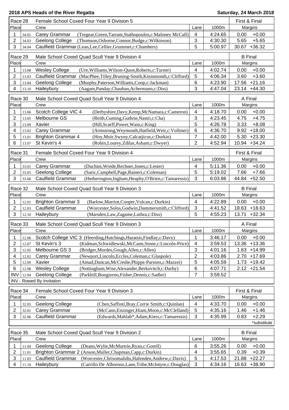| 2018 APS Heads of the River Regatta | Saturday, 24 March 2018 |
|-------------------------------------|-------------------------|
|-------------------------------------|-------------------------|

| Race 28                               | Female School Coxed Four Year 9 Division 5                                                                                         |                   |                    | First & Final                      |
|---------------------------------------|------------------------------------------------------------------------------------------------------------------------------------|-------------------|--------------------|------------------------------------|
| Place                                 | Crew                                                                                                                               | Lane              | 1000m              | Margins                            |
| 1<br>34.01                            | Carey Grammar<br>(Tregear, Green, Tarrant, Stathopoulos, c: Maloney McCall)                                                        | 4                 | 4:24.65            | $+0.00$<br>0.00                    |
| $\overline{2}$<br>34.03               | Geelong College<br>(Thomson, Osborne, Connor, Budge, c: Wilkinson)                                                                 | 3                 | 4:30.30            | 5.65<br>$+5.65$                    |
| 3<br>34.04                            | Caulfield Grammar (Lean, Lee, Cellier, Grummet, c: Chambers)                                                                       | 5                 | 5:00.97            | $+36.32$<br>30.67                  |
| Race 29                               | Male School Coxed Quad Scull Year 9 Division 4                                                                                     |                   |                    | <b>B</b> Final                     |
| Place                                 | Crew                                                                                                                               | Lane              | 1000m              | Margins                            |
| 1<br>13.08                            | <b>Wesley College</b><br>(Ure, Williams, Wilson-Quon, Roberts, c: Turner)                                                          | 4                 | 4:02.74            | $+0.00$<br>0.00                    |
| $\overline{\mathbf{c}}$<br>13.03      | <b>Caulfield Grammar</b><br>(MacPhee,Tilley,Bruning-Smith,Kininmonth,c:Clifford)                                                   | 5                 | 4:06.34            | $+3.60$<br>3.60                    |
| 3<br>13.04                            | (Murphy, Paterson, Williams, Coop, c: Jackman)<br>Geelong College                                                                  | 6                 | 4:23.90            | $+21.16$<br>17.56                  |
| 4<br>13.10                            | Haileybury<br>(Aagam, Panday, Chauhan, Achermann, c: Diss)                                                                         | 3                 | 4:47.04            | $+44.30$<br>23.14                  |
| Race 30                               | Male School Coxed Quad Scull Year 9 Division 4                                                                                     |                   |                    | A Final                            |
| Place                                 | Crew                                                                                                                               | Lane              | 1000m              | Margins                            |
|                                       |                                                                                                                                    |                   |                    |                                    |
| 1<br>13.06<br>$\overline{2}$<br>13.05 | Scotch College VIC 4<br>(Derbyshire, Davy, Kemp, McNamara, c: Cameron)<br>Melbourne GS<br>(Reith, Cuming, Guthrie, Nastri, c: Cha) | 4<br>$\sqrt{3}$   | 4:18.70<br>4:23.45 | $+0.00$<br>0.00<br>4.75<br>$+4.75$ |
| 3<br>13.09                            | Xavier<br>(Hill, Scarff, Power, Wain, c: King)                                                                                     | 5                 | 4:26.78            | 3.33<br>$+8.08$                    |
| 4<br>13.02                            | Carey Grammar<br>(Armstrong, Weymouth, Hatfield, Weir, c: Vollmer)                                                                 | 6                 | 4:36.70            | 9.92<br>$+18.00$                   |
| 5<br>13.01                            | <b>Brighton Grammar 4</b><br>(Hoy, Moir, Swyny, Calcatjicos, c: Durkin)                                                            | $\overline{7}$    | 4:42.00            | $+23.30$<br>5.30                   |
| 6<br>13.07                            | St Kevin's 4<br>(Robin,Lourey,Zdilar,Asham,c:Dwyer)                                                                                | $\overline{2}$    | 4:52.94            | 10.94 +34.24                       |
|                                       |                                                                                                                                    |                   |                    |                                    |
| Race 31                               | Female School Coxed Four Year 9 Division 4                                                                                         |                   |                    | First & Final                      |
| Place                                 | Crew                                                                                                                               | Lane              | 1000m              | Margins                            |
| 1<br>33.01                            | Carey Grammar<br>(Duchini, Wrede, Rechner, Jones, c: Lester)                                                                       | 4                 | 5:11.36            | 0.00<br>$+0.00$                    |
| 2<br>33.05                            | <b>Geelong College</b><br>(Saric, Campbell, Page, Raineri, c: Coleman)                                                             | 5                 | 5:19.02            | $+7.66$<br>7.66                    |
| 3<br>33.06                            | <b>Caulfield Grammar</b><br>(Hetherington, Ingham, Heaphy, O'Brien, c: Tamaressis)                                                 | 3                 | 6:03.86            | $+52.50$<br>44.84                  |
| Race 32                               | Male School Coxed Quad Scull Year 9 Division 3                                                                                     |                   |                    | <b>B</b> Final                     |
| Place                                 | Crew                                                                                                                               | Lane              | 1000m              | Margins                            |
| 1<br>12.01                            | <b>Brighton Grammar 3</b><br>(Barlow, Marriot, Cooper, Vulcan, c: Durkin)                                                          | 4                 | 4:22.89            | $+0.00$<br>0.00                    |
| $\overline{\mathbf{c}}$<br>12.03      | <b>Caulfield Grammar</b><br>(Worcester, Solos, Godwin, Dammersmith, c: Clifford)                                                   | $\mathbf{3}$      | 4:41.52            | 18.63<br>$+18.63$                  |
| 3<br>12.10                            | Haileybury<br>(Marsden, Law, Zagame, Luthra, c: Diss)                                                                              | 5                 | 4:55.23            | 13.71<br>$+32.34$                  |
|                                       |                                                                                                                                    |                   |                    |                                    |
| Race 33                               | Male School Coxed Quad Scull Year 9 Division 3                                                                                     |                   |                    | A Final                            |
| Place                                 | Crew                                                                                                                               | Lane              | 1000m              | Margins                            |
| 1<br>12.06                            | Scotch College VIC 3 (Heerding, Hutchings, Haratsis, Findlay, c: Davy)                                                             | 1                 | 3:46.17            | 0.00<br>$+0.00$                    |
| 2<br>12.07                            | St Kevin's 3<br>(Kidman, Schwidlewski, McCann, Stone, c: Lincoln-Price)                                                            | 4                 | 3:59.53            | 13.36<br>$+13.36$                  |
| 3<br>12.05<br>4                       | Melbourne GS 3<br>(Bridger, Mordes, Gough, Allen, c: Allen)<br>(Newport,Lincoln,Eccles,Coleman,c:Glaspole)                         | 3<br>$\mathbf{2}$ | 4:01.16            | 1.63<br>$+14.99$<br>2.70           |
| 12.02<br>5                            | Carey Grammar<br>Xavier<br>(Amad, Duncan, McCredie, Phipps-Parsons, c: Mazzei)                                                     | 5                 | 4:03.86<br>4:05.59 | $+17.69$<br>1.73<br>$+19.42$       |
| 12.09<br>6<br>12.08                   | <b>Wesley College</b><br>(Nottingham, Wise, Alexander, Berkovitch, c: Darby)                                                       | 6                 | 4:07.71            | $2.12 +21.54$                      |
| <b>INV</b><br>12.04                   | Geelong College<br>(Parkhill, Bongiorno, Fisher, Dennis, c: Sadler)                                                                | $\overline{7}$    | 3:59.52            |                                    |
|                                       | INV - Rowed By Invitation                                                                                                          |                   |                    |                                    |
|                                       |                                                                                                                                    |                   |                    |                                    |
| Race 34                               | Female School Coxed Four Year 9 Division 3                                                                                         |                   |                    | First & Final                      |
| Place                                 | Crew                                                                                                                               | Lane              | 1000m              | Margins                            |
| 1<br>32.05                            | <b>Geelong College</b><br>(Chen, Saffioti, Bray, Corrie Smith, c: Quinlan)                                                         | 4                 | 4:33.70            | $+0.00$<br>0.00                    |
| 2<br>32.01                            | Carey Grammar<br>(McCann, Enzinger, Hiam, Moon, c: McClelland)                                                                     | 5                 | 4:35.16            | $+1.46$<br>1.46                    |
| 3<br>32.06                            | <b>Caulfield Grammar</b><br>(Edwards, Mahlab*, Adam, Kiers, c: Tamaressis)                                                         | 3                 | 4:35.99            | 0.83<br>$+2.29$                    |
|                                       |                                                                                                                                    |                   |                    | *substitute                        |
| Race 35                               | Male School Coxed Quad Scull Year 9 Division 2                                                                                     |                   |                    | <b>B</b> Final                     |
| Place                                 | Crew                                                                                                                               | Lane              | 1000m              | Margins                            |
| 1<br>11.04                            | Geelong College<br>(Deans, Wylie, McMurtrie, Ryan, c: Gorell)                                                                      | 6                 | 3:55.26            | $+0.00$<br>0.00                    |
| 2<br>11.01                            | Brighton Grammar 2 (Anson, Muller, Chapman, Capp, c: Durkin)                                                                       | 4                 | 3:55.65            | 0.39<br>$+0.39$                    |
| 3<br>11.03                            | Caulfield Grammar<br>(Worcester, Chrisomalidis, Hafenden, Andrew, c: Davis)                                                        | 5                 | 4:17.53            | 21.88<br>$+22.27$                  |
| 4<br>11.10                            | Haileybury<br>(Carrillo De Albornoz, Lane, Tribe, McIntyre, c: Douglas)                                                            | 3                 | 4:34.16            | 16.63<br>$+38.90$                  |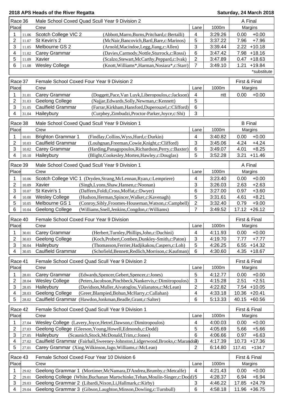| Race 36                 |       | Male School Coxed Quad Scull Year 9 Division 2                                      |                         |         | A Final            |
|-------------------------|-------|-------------------------------------------------------------------------------------|-------------------------|---------|--------------------|
| Place                   |       | Crew                                                                                | Lane                    | 1000m   | Margins            |
| 1                       | 11.06 | Scotch College VIC 2<br>(Abbott, Marro, Burns, Pritchard, c: Bertalli)              | 4                       | 3:29.26 | $+0.00$<br>0.00    |
| $\overline{2}$          | 11.07 | St Kevin's 2<br>(McNair, Bancovich, Bartl, Bare, c: Marinos)                        | 5                       | 3:37.22 | $+7.96$<br>7.96    |
| 3                       | 11.05 | Melbourne GS 2<br>(Arnold, Macindoe, Legg, Jiang, c: Allen)                         | 3                       | 3:39.44 | 2.22<br>$+10.18$   |
| 4                       | 11.02 | Carey Grammar<br>(Davies,Carmody,Nottle,Sturrock,c:Rossi)                           | $6\phantom{1}$          | 3:47.42 | 7.98<br>$+18.16$   |
| $\mathbf 5$             | 11.09 | Xavier<br>(Scalzo, Stewart, McCarthy, Peppard, c: Ivak)                             | $\overline{c}$          | 3:47.89 | $+18.63$<br>0.47   |
| 6                       | 11.08 | <b>Wesley College</b><br>(Knott, Williams*, Harman, Nosiara*, c: Starr)             | $\overline{7}$          | 3:49.10 | $+19.84$<br>1.21   |
|                         |       |                                                                                     |                         |         | *substitute        |
|                         |       |                                                                                     |                         |         |                    |
| Race 37                 |       | Female School Coxed Four Year 9 Division 2                                          |                         |         | First & Final      |
| Place                   |       | Crew                                                                                | Lane                    | 1000m   | Margins            |
| 1                       | 31.01 | Carey Grammar<br>(Doggett, Pace, Van Luyk, Liberopoulos, c: Jackson)                | 4                       | ntt     | 0.00<br>$+0.00$    |
| $\overline{2}$          | 31.03 | Geelong College<br>(Najjar, Edwards, Solly, Newman, c: Kennett)                     | 5                       |         |                    |
| 3                       | 31.05 | <b>Caulfield Grammar</b><br>(Farrar, Kirkham, Hansford, Duperouzel, c: Clifford)    | $\,6$                   |         |                    |
| 4                       | 31.04 | Haileybury<br>(Curphey,Zimbudzi,Proctor-Parker,Joyce,c:Shi)                         | 3                       |         |                    |
|                         |       |                                                                                     |                         |         |                    |
| Race 38                 |       | Male School Coxed Quad Scull Year 9 Division 1                                      |                         |         | <b>B</b> Final     |
| Place                   |       | Crew                                                                                | Lane                    | 1000m   | Margins            |
| 1                       | 10.01 | <b>Brighton Grammar 1</b><br>(Findlay, Collins, Wyss, Hurd, c: Durkin)              | 4                       | 3:40.82 | 0.00<br>$+0.00$    |
| $\overline{2}$          | 10.03 | <b>Caulfield Grammar</b><br>(Louhgnan, Freeman, Cowie, Knight, c: Clifford)         | $\mathbf{3}$            | 3:45.06 | $+4.24$<br>4.24    |
| 3                       | 10.02 | Carey Grammar<br>(Harding, Panagopoulos, Richardson, Perry, c: Baxter)              | 6                       | 3:49.07 | $+8.25$<br>4.01    |
| 4                       | 10.10 | Haileybury<br>(Blight,Cookesley,Morten,Hawley,c:Douglas)                            | 5                       | 3:52.28 | 3.21<br>$+11.46$   |
| Race 39                 |       | Male School Coxed Quad Scull Year 9 Division 1                                      |                         |         | A Final            |
| Place                   |       | Crew                                                                                | Lane                    | 1000m   | Margins            |
|                         |       |                                                                                     |                         |         |                    |
| 1                       | 10.06 | Scotch College VIC 1 (Dryden, Strang, McLennan, Ryan, c: Lempriere)                 | 4                       | 3:23.40 | $+0.00$<br>0.00    |
| $\overline{\mathbf{c}}$ | 10.09 | Xavier<br>(Singh, Lyons, Shaw, Hansen, c: Noonan)                                   | 3                       | 3:26.03 | $+2.63$<br>2.63    |
| 3                       | 10.07 | St Kevin's 1<br>(Daffern, Foldi, Cross, Moffat, c: Dwyer)                           | 6                       | 3:27.00 | 0.97<br>$+3.60$    |
| 4                       | 10.08 | <b>Wesley College</b><br>(Hudson, Herman, Spincer, Walker, c: Kavenagh)             | 5                       | 3:31.61 | 4.61<br>$+8.21$    |
| 5                       | 10.05 | Melbourne GS 1<br>(Conroy, Sibly, Froomes-Houseman, Watson, c: Campbell)            | 2                       | 3:32.40 | 0.79<br>$+9.00$    |
| 6                       | 10.04 | <b>Geelong College</b><br>(Williams, Snell, Jenkins, Congdon, c: Williams)          | $\overline{7}$          | 3:49.52 | 17.12<br>$+26.12$  |
| Race 40                 |       | Female School Coxed Four Year 9 Division                                            |                         |         | First & Final      |
| Place                   |       | Crew                                                                                | Lane                    | 1000m   | Margins            |
| 1                       | 30.01 | Carey Grammar<br>(Herbert, Turnley, Phillips, John, c: Duchini)                     | $\overline{\mathbf{4}}$ | 4:11.93 | $+0.00$<br>0.00    |
| 2                       | 30.03 | (Koch, Probert, Comben, Dunkley-Smith, c: Paton)<br><b>Geelong College</b>          | 3                       | 4:19.70 | 7.77<br>$+7.77$    |
| 3                       | 30.04 | Haileybury<br>(Thomasson, Ferrier, Hadjikakou, Caspers, c: Loh)                     | 5                       | 4:26.25 | $+14.32$<br>6.55   |
| 4                       | 30.05 | <b>Caulfield Grammar</b><br>(Schofield, Bennett, Redlich, Morrison, c: Kaufman)     | $6\phantom{1}6$         | 4:30.60 | $4.35 + 18.67$     |
|                         |       |                                                                                     |                         |         |                    |
| Race 41                 |       | Female School Coxed Quad Scull Year 9 Division 2                                    |                         |         | First & Final      |
| Place                   |       | Crew                                                                                | Lane                    | 1000m   | Margins            |
| 1                       | 28.01 | Carey Grammar<br>(Edwards, Spencer, Gebert, Spencer, c: Jones)                      | 5                       | 4:12.77 | 0.00<br>$+0.00$    |
| $\overline{c}$          | 28.04 | <b>Wesley College</b><br>(Peters, Jacobson, Pinchbeck, Nankervis, c: Dimitropoulos) | 3                       | 4:15.28 | 2.51<br>$+2.51$    |
| 3                       | 28.05 | Haileybury<br>(Davidson, Muller, Aivatoglou, Valianatos, c: McLean)                 | $\overline{2}$          | 4:22.82 | $+10.05$<br>7.54   |
| 4                       | 28.03 | Geelong College<br>(Greer, Blampied, Bohun, McHarry, c: Callahan)                   | 4                       | 4:33.18 | 10.36<br>$+20.41$  |
| 5                       | 28.02 | Caulfield Grammar<br>(Hawdon, Jonkman, Beadle, Grant, c: Salter)                    | 6                       | 5:13.33 | 40.15<br>$+60.56$  |
| Race 42                 |       | Female School Coxed Quad Scull Year 9 Division 1                                    |                         |         | First & Final      |
| Place                   |       | Crew                                                                                | Lane                    | 1000m   | Margins            |
|                         |       |                                                                                     |                         |         |                    |
| 1                       | 27.04 | Wesley College (Lavery, Joyce, Hetrel, Dawson, c: Dimitropoulos)                    | 4                       | 4:00.03 | 0.00<br>$+0.00$    |
| $\overline{c}$          | 27.03 | Geelong College (Gleeson, Young, Howell, Edmonds, c: Dodd)                          | 5                       | 4:05.69 | 5.66<br>$+5.66$    |
| 3                       | 27.05 | (Scaunich, Stock, McDonald, Trim, c: Jones)<br>Haileybury                           | 6                       | 4:06.66 | 0.97<br>$+6.63$    |
| 4                       | 27.02 | Caulfield Grammar (Fairhall, Sweeney-Johnston, Lidgerwood, Brooks, c: Marando3)     |                         | 4:17.39 | $+17.36$<br>10.73  |
| 5                       | 27.01 | Carey Grammar (Xing, Wilkinson, Jago, Williams, c: McLean)                          | 2                       | 6:14.80 | 117.41<br>$+134.7$ |
| Race 43                 |       | Female School Coxed Four Year 10 Division 6                                         |                         |         | First & Final      |
| Place                   |       | Crew                                                                                | Lane                    | 1000m   | Margins            |
| 1                       | 29.02 | Geelong Grammar 1 (Mortimer, McNamara, D'Andrea, Brumby, c: Metcalfe)               | $\overline{4}$          | 4:21.43 | $+0.00$<br>0.00    |
| $\overline{2}$          | 29.01 | Geelong College (White, Buchanan Martschinke, Tehan, Moulin-Singer, c: Dodd) 5      |                         | 4:28.37 | 6.94<br>$+6.94$    |
| $\sqrt{3}$              | 29.03 | Geelong Grammar 2 (Libardi, Nixon, Li, Hallmark, c: Kirby)                          | 3                       | 4:46.22 | $+24.79$<br>17.85  |
| 4                       | 29.04 | Geelong Grammar 3 (Gibson, Laughton, Minson, Dowling, c: Turnbull)                  | 6                       | 4:58.18 | 11.96 +36.75       |
|                         |       |                                                                                     |                         |         |                    |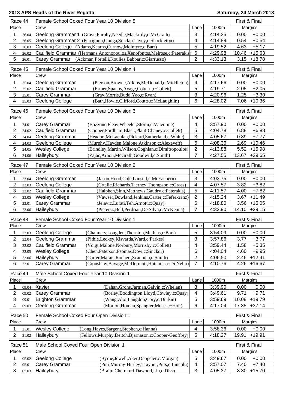| Race 44                      | Female School Coxed Four Year 10 Division 5                                                                            |                 | First & Final      |                                    |
|------------------------------|------------------------------------------------------------------------------------------------------------------------|-----------------|--------------------|------------------------------------|
| Place                        | Crew                                                                                                                   | Lane            | 1000m              | Margins                            |
| 1<br>26.04                   | Geelong Grammar 1 (Grave, Furphy, Needle, Mackirdy, c: McGrath)                                                        | 3               | 4:14.35            | $+0.00$<br>0.00                    |
| 2<br>26.05                   | Geelong Grammar 2 (Perrignon, Guoga, Sinclair, Tivey, c: Shackleton)                                                   | 4               | 4:14.89            | 0.54<br>$+0.54$                    |
| 3<br>26.03                   | Geelong College (Adams, Kearns, Curnow, McIntyre, c: Barr)                                                             | 5               | 4:19.52            | 4.63<br>$+5.17$                    |
| 4<br>26.02                   | Caulfield Grammar (Hermans, Antonopoulos, Xenofontos, Melrose, c: Paterakis)                                           | $6\phantom{1}6$ | 4:29.98            | $+15.63$<br>10.46                  |
| 5<br>26.01                   | (Ackman, Portelli, Koulies, Babbar, c: Giarrusso)<br>Carey Grammar                                                     | $\overline{2}$  | 4:33.13            | $+18.78$<br>3.15                   |
| Race 45                      | Female School Coxed Four Year 10 Division 4                                                                            |                 |                    | First & Final                      |
| Place                        | Crew                                                                                                                   | Lane            | 1000m              | Margins                            |
| 1<br>25.04                   | Geelong Grammar<br>(Pierson, Browne, Atkins, McDonald, c: Middleton)                                                   | 4               | 4:17.66            | $+0.00$<br>0.00                    |
| 2<br>25.02                   | <b>Caulfield Grammar</b><br>(Ermer, Spanos, Avage, Coburn, c: Collett)                                                 | 5               | 4:19.71            | $+2.05$<br>2.05                    |
| 3<br>25.01                   | Carey Grammar<br>(Gray, Morris, Budd, Yao, c: Ryan)                                                                    | 3               | 4:20.96            | 1.25<br>$+3.30$                    |
| 4<br>25.03                   | Geelong College<br>(Bath, Howie, Clifford, Coutts, c: McLaughlin)                                                      | 6               | 4:28.02            | $+10.36$<br>7.06                   |
|                              | Female School Coxed Four Year 10 Division 3                                                                            |                 |                    | First & Final                      |
| Race 46<br>Place             | Crew                                                                                                                   | Lane            | 1000m              | Margins                            |
|                              |                                                                                                                        |                 |                    |                                    |
| 1<br>24.01<br>$\overline{c}$ | Carey Grammar<br>(Bozzone, Fleay, Wheeler, Storm, c: Valentine)<br><b>Caulfield Grammar</b>                            | 4<br>5          | 3:57.90            | 0.00<br>$+0.00$<br>$+6.88$<br>6.88 |
| 24.02<br>3                   | (Cooper,Fordham,Black,Plant-Chaney,c:Collett)<br>Geelong Grammar<br>(Headon, McLachlan, Pickard, Sutherland, c: White) | 3               | 4:04.78<br>4:05.67 | 0.89<br>$+7.77$                    |
| 24.04<br>4<br>24.03          | Geelong College<br>(Murphy, Hayden, Malone, Atkinson, c: Alexeyeff)                                                    | 6               | 4:08.36            | 2.69<br>$+10.46$                   |
| 5<br>24.05                   | <b>Wesley College</b><br>(Brindley, Martin, Wilson, Coghlan, c: Dimitropoulos)                                         | $\overline{c}$  | 4:13.88            | $+15.98$<br>5.52                   |
| 6<br>24.06                   | Haileybury<br>(Zajac, Arhon, McGrath, Goodwill, c: Smith)                                                              | 7               | 4:27.55            | 13.67<br>$+29.65$                  |
|                              |                                                                                                                        |                 |                    |                                    |
| Race 47                      | Female School Coxed Four Year 10 Division 2                                                                            |                 |                    | First & Final                      |
| Place                        | Crew                                                                                                                   | Lane            | 1000m              | Margins                            |
| 1<br>23.04                   | Geelong Grammar<br>(Jason, Hood, Cole, Lansell, c: McEachern)                                                          | 3               | 4:03.75            | $+0.00$<br>0.00                    |
| $\overline{c}$<br>23.03      | Geelong College<br>(Crtalic, Richards, Tierney, Thompson, c: Gross)                                                    | 4               | 4:07.57            | $+3.82$<br>3.82                    |
| 3<br>23.02                   | <b>Caulfield Grammar</b><br>(Halphen, Sinn, Matthews, Gaudry, c: Paterakis)                                            | 5               | 4:11.57            | 4.00<br>$+7.82$                    |
| 4<br>23.05                   | <b>Wesley College</b><br>(Vawser, Dowland, Jenkins, Carter, c: Feferkranz)                                             | $\overline{c}$  | 4:15.24            | 3.67<br>$+11.49$                   |
| 5<br>23.01                   | Carey Grammar<br>(Jelavic,Lurati,Teh,Arnott,c:Quay)                                                                    | 6               | 4:18.80            | $3.56 + 15.05$                     |
| 6<br>23.06                   | Haileybury<br>(Pietersz, Bell, Perdriau, De Silva, c: McKenna)                                                         | 7               | 4:32.90            | 14.10 +29.15                       |
| Race 48                      | Female School Coxed Four Year 10 Division 1                                                                            |                 |                    | First & Final                      |
| Place                        | Crew                                                                                                                   | Lane            | 1000m              | Margins                            |
| 1<br>22.03                   | Geelong College<br>(Chalmers, Longden, Thornton, Mathias, c: Barr)                                                     | 5               | 3:54.09            | $+0.00$<br>0.00                    |
| 2<br>22.04                   | Geelong Grammar<br>(Pithie, Leckey, Kisvarda, Ward, c: Parkes)                                                         | 3               | 3:57.86            | 3.77<br>$+3.77$                    |
| 3<br>22.02                   | Caulfield Grammar<br>(Voigt, Malone, Norbury, Morrisby, c: Collett)                                                    | 4               | 3:59.44            | 1.58<br>$+5.35$                    |
| 4<br>22.05                   | (Chen, Paterson, Psomas, Dow, c: Sinclair)<br><b>Wesley College</b>                                                    | 6               | 4:04.04            | $+9.95$<br>4.60                    |
| 5<br>22.06                   | (Carter, Marais, Rochert, Scaunich, c: Smith)<br>Haileybury                                                            | 2               | 4:06.50            | $+12.41$<br>2.46                   |
| 6<br>22.01                   | Carey Grammar<br>(Cronshaw, Bavage, McDermott, Hutchins, c: Di Nello)                                                  | $\overline{7}$  | 4:10.76            | 4.26<br>$+16.67$                   |
|                              |                                                                                                                        |                 |                    |                                    |
| Race 49                      | Male School Coxed Four Year 10 Division 1                                                                              |                 |                    | First & Final                      |
| Place                        | Crew                                                                                                                   | Lane            | 1000m              | Margins                            |
| 1<br>09.04                   | Xavier<br>(Dahan, Grohs, Jarman, Galvin, c: Whelan)                                                                    | 3               | 3:39.90            | $+0.00$<br>0.00                    |
| 2<br>09.02                   | Carey Grammar<br>(Borley, Boddington, Lloyd, Cowley, c: Quay)                                                          | 4               | 3:49.61            | $+9.71$<br>9.71                    |
| 3<br>09.01                   | (Wang, Aloi, Langdon, Cory, c: Durkin)<br><b>Brighton Grammar</b>                                                      | 5               | 3:59.69            | $+19.79$<br>10.08                  |
| 4<br>09.03                   | Geelong Grammar<br>(Morton, Homan, Spangler, Moses, c: Holt)                                                           | 6               | 4:17.04            | 17.35 +37.14                       |
| Race 50                      | Female School Coxed Four Open Division 1                                                                               |                 |                    | First & Final                      |
| Place                        | Crew                                                                                                                   | Lane            | 1000m              | Margins                            |
| 1<br>21.01                   | <b>Wesley College</b><br>(Long, Hayes, Sargent, Stephen, c: Hanna)                                                     | 4               | 3:58.36            | $+0.00$<br>0.00                    |
| $\overline{2}$<br>21.02      | (Fellows, Murphy, Deitch, Bjarnason, c: Cooper-Geoffrey)<br>Haileybury                                                 | 5               | 4:18.27            | 19.91<br>$+19.91$                  |
| Race 51                      | Male School Coxed Four Open Division 1                                                                                 |                 |                    | First & Final                      |
| Place                        | Crew                                                                                                                   | Lane            | 1000m              | Margins                            |
| 05.02<br>1                   | Geelong College<br>(Byrne, Jewell, Aker, Deppeler, c: Morgan)                                                          | 5               | 3:49.67            | $+0.00$<br>0.00                    |
| 2<br>05.01                   | (Puri, Murray-Hurley, Traynor, Pitts, c: Lincoln)<br>Carey Grammar                                                     | 4               | 3:57.07            | 7.40<br>$+7.40$                    |
|                              | (Braim, Cherukuri, Dawood, Liu, c: Diss)<br>Haileybury                                                                 | 3               | 4:05.37            | 8.30<br>$+15.70$                   |
| 3<br>05.03                   |                                                                                                                        |                 |                    |                                    |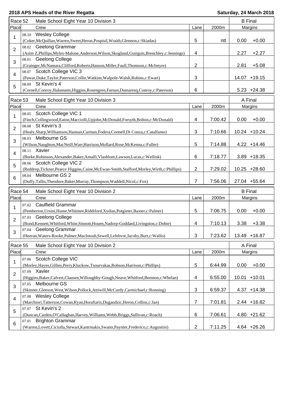|                | Race 52<br>Male School Eight Year 10 Division 3 |                                                                                                                | <b>B</b> Final |         |                 |                 |
|----------------|-------------------------------------------------|----------------------------------------------------------------------------------------------------------------|----------------|---------|-----------------|-----------------|
| Place          |                                                 | Crew                                                                                                           | Lane           | 2000m   | Margins         |                 |
|                | 08.10                                           | <b>Wesley College</b>                                                                                          |                |         |                 |                 |
| 1              |                                                 | (Coker, McQuillan, Warren, Sweet, Heron, Pospisil, Wraith, Glennon, c: Skiadas)                                | 5              | ntt     | 0.00            | $+0.00$         |
|                |                                                 | 08.02 Geelong Grammar                                                                                          |                |         |                 |                 |
| $\overline{2}$ |                                                 | (Asim Z, Phillips, Myles-Malone, Anderson, Wilson, Skoglund, Guirguis, Brenchley, c: Jennings)                 | 4              |         | 2.27            | $+2.27$         |
| 3              |                                                 | 08.01 Geelong College                                                                                          |                |         |                 |                 |
|                |                                                 | (Grainger, McNamara, Clifford, Roberts, Hanson, Miller, Faull, Thomson, c: McIntyre)                           | 2              |         | 2.81            | $+5.08$         |
| 4              |                                                 | 08.07 Scotch College VIC 3                                                                                     |                |         |                 |                 |
|                |                                                 | (Pawar, Duke, Taylor, Paterson, Collie, Watkins, Walpole-Walsh, Rubins, c: Ewart)                              | 3              |         |                 | 14.07 +19.15    |
| 5              |                                                 | 08.09 St Kevin's 4                                                                                             |                |         |                 |                 |
|                |                                                 | (Cornell,Conroy,Halastanis,Higgins,Rosengren,Farnan,Dumaresq,Conroy,c:Paterson)                                | 6              |         |                 | $5.23 +24.38$   |
| Race 53        |                                                 | Male School Eight Year 10 Division 3                                                                           |                |         | A Final         |                 |
| Place          |                                                 | Crew                                                                                                           | Lane           | 2000m   |                 | Margins         |
|                |                                                 |                                                                                                                |                |         |                 |                 |
| 1              | 08.05                                           | Scotch College VIC 1                                                                                           | 4              |         |                 |                 |
|                |                                                 | (Finch, Collingwood, Eaton, Macciolli, Upjohn, McDonald, Forsyth, Bolton, c: McDonald)<br>08.08 St Kevin's 3   |                | 7:00.42 | 0.00            | $+0.00$         |
| $\overline{2}$ |                                                 |                                                                                                                | 3              |         |                 |                 |
|                | 08.03                                           | (Healy,Sharp,Williamson,Hannan,Carman,Fodera,Connell,Di Conza,c:Catalfamo)<br>Melbourne GS                     |                | 7:10.66 |                 | $10.24 + 10.24$ |
| 3              |                                                 |                                                                                                                |                | 7:14.88 |                 |                 |
|                | 08.11 Xavier                                    | (Wilson, Naughton, MacNeill, Warr, Harrison, Mollard, Rose, McKenna, c: Fuller)                                | 5              |         |                 | $4.22 + 14.46$  |
| 4              |                                                 |                                                                                                                | 6              | 7:18.77 |                 | $3.89 + 18.35$  |
|                |                                                 | (Burke, Robinson, Alexander, Baker, Amalfi, Vlasblom, Lawson, Lucas, c: Wellink)<br>08.06 Scotch College VIC 2 |                |         |                 |                 |
| 5              |                                                 | (Reddrop,Tickner,Pearce Higgins,Caine,McEwan-Smith,Stafford,Morley,Wirth,c:Phillips)                           | 2              | 7:29.02 |                 | 10.25 +28.60    |
|                |                                                 |                                                                                                                |                |         |                 |                 |
|                |                                                 |                                                                                                                |                |         |                 |                 |
| 6              | 08.04                                           | Melbourne GS 2                                                                                                 |                |         |                 |                 |
|                |                                                 | (Duffy,Tallis,Theodore,Baker,Murray,Thompson,Waddell,Nicol,c:Fox)                                              | 7              | 7:56.06 |                 | 27.04 +55.64    |
| Race 54        |                                                 | Male School Eight Year 10 Division 2                                                                           |                |         | <b>B</b> Final  |                 |
| Place          |                                                 | Crew                                                                                                           | Lane           | 2000m   |                 | Margins         |
|                | 07.02                                           | <b>Caulfield Grammar</b>                                                                                       |                |         |                 |                 |
| 1              |                                                 | (Pemberton, Ursini, Hume, Whitmee, Riddiford, Xydias, Potgieter, Baxter, c: Palmer)                            | 5              | 7:06.75 | 0.00            | $+0.00$         |
|                |                                                 | 07.03 Geelong College                                                                                          |                |         |                 |                 |
| 2              |                                                 | (Bond, Kennett, Whitford, White, Sinnott, Houen, Nadorp-Goddard, Livingston, c: Dobie)                         | 4              | 7:10.13 | 3.38            | $+3.38$         |
|                |                                                 | 07.04 Geelong Grammar                                                                                          |                |         |                 |                 |
| 3              |                                                 | (Heeran, Waters-Rooke, Palmer, MacIntosh, Sewell, Lefebvre, Jacoby, Burt, c: Wallis)                           | 3              | 7:23.62 |                 | 13.49 +16.87    |
|                |                                                 |                                                                                                                |                |         |                 |                 |
| Race 55        |                                                 | Male School Eight Year 10 Division 2                                                                           |                |         | A Final         |                 |
| Place          |                                                 | Crew                                                                                                           | Lane           | 2000m   |                 | Margins         |
| 1              | 07.06                                           | Scotch College VIC                                                                                             |                |         |                 |                 |
|                |                                                 | (Morley, Hayes, Gillies, Perry, Kluckow, Tsourvakas, Robson, Harrison, c: Phillips)                            | 5              | 6:44.99 | 0.00            | $+0.00$         |
| $\overline{2}$ | 07.09                                           | Xavier                                                                                                         |                |         |                 |                 |
|                |                                                 | (Higgins, Baker, Calvert, Clausen, Willoughby-Gough, Neave, Whitford, Benston, c: Whelan)                      | 4              | 6:55.00 | $10.01 + 10.01$ |                 |
| 3              | 07.05                                           | Melbourne GS                                                                                                   |                |         |                 |                 |
|                |                                                 | (Skinner, Gleeson, West, Wilson, Pollock, Attiwill, McCurdy, Carmichael, c: Ronning)                           | 3              | 6:59.37 |                 | $4.37 + 14.38$  |
| 4              |                                                 | 07.08 Wesley College                                                                                           |                |         |                 |                 |
|                |                                                 | (Marchiori, Tatterson, Cowan, Ryan, Horafiaris, Dugandzic, Heron, Collins, c: Jan)                             | 7              | 7:01.81 |                 | 2.44 +16.82     |
| 5              |                                                 | 07.07 St Kevin's 2                                                                                             |                |         |                 |                 |
| 6              | 07.01                                           | (Duncan, Carden, O'Callaghan, Harvey, Williams, Webb, Briggs, Sullivan, c: Roach)<br><b>Brighton Grammar</b>   | 6              | 7:06.61 |                 | $4.80 +21.62$   |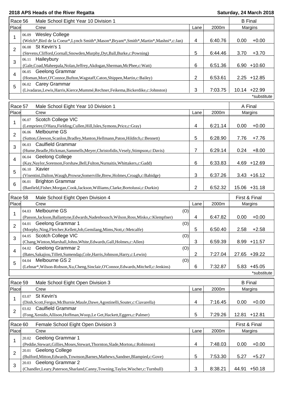| 2000m<br>6:40.76<br>0.00 | Margins<br>$+0.00$                                                                                                                                                                                                    |
|--------------------------|-----------------------------------------------------------------------------------------------------------------------------------------------------------------------------------------------------------------------|
|                          |                                                                                                                                                                                                                       |
|                          |                                                                                                                                                                                                                       |
|                          |                                                                                                                                                                                                                       |
|                          |                                                                                                                                                                                                                       |
| 6:44.46<br>3.70          | $+3.70$                                                                                                                                                                                                               |
|                          |                                                                                                                                                                                                                       |
| 6:51.36                  | $6.90 + 10.60$                                                                                                                                                                                                        |
|                          |                                                                                                                                                                                                                       |
|                          | $2.25 + 12.85$                                                                                                                                                                                                        |
|                          |                                                                                                                                                                                                                       |
|                          | 10.14 +22.99                                                                                                                                                                                                          |
|                          | *substitute                                                                                                                                                                                                           |
|                          | A Final                                                                                                                                                                                                               |
| 2000m                    | Margins                                                                                                                                                                                                               |
|                          |                                                                                                                                                                                                                       |
|                          | $+0.00$                                                                                                                                                                                                               |
|                          |                                                                                                                                                                                                                       |
|                          | $+7.76$                                                                                                                                                                                                               |
|                          |                                                                                                                                                                                                                       |
|                          | $+8.00$                                                                                                                                                                                                               |
|                          |                                                                                                                                                                                                                       |
| 6:33.83                  | $4.69 + 12.69$                                                                                                                                                                                                        |
|                          |                                                                                                                                                                                                                       |
| 6:37.26                  | $3.43 + 16.12$                                                                                                                                                                                                        |
|                          |                                                                                                                                                                                                                       |
| 6:52.32                  | 15.06 +31.18                                                                                                                                                                                                          |
|                          | First & Final                                                                                                                                                                                                         |
|                          |                                                                                                                                                                                                                       |
|                          | <b>Margins</b>                                                                                                                                                                                                        |
|                          |                                                                                                                                                                                                                       |
|                          | $+0.00$                                                                                                                                                                                                               |
|                          | $+2.58$                                                                                                                                                                                                               |
|                          |                                                                                                                                                                                                                       |
|                          | 8.99 +11.57                                                                                                                                                                                                           |
|                          |                                                                                                                                                                                                                       |
|                          | 27.65 +39.22                                                                                                                                                                                                          |
|                          |                                                                                                                                                                                                                       |
|                          | $5.83 + 45.05$                                                                                                                                                                                                        |
|                          | *substitute                                                                                                                                                                                                           |
|                          |                                                                                                                                                                                                                       |
|                          | <b>B</b> Final                                                                                                                                                                                                        |
|                          | Margins                                                                                                                                                                                                               |
|                          |                                                                                                                                                                                                                       |
|                          | $+0.00$                                                                                                                                                                                                               |
|                          |                                                                                                                                                                                                                       |
|                          | 12.81 +12.81                                                                                                                                                                                                          |
|                          | First & Final                                                                                                                                                                                                         |
| 2000m                    | Margins                                                                                                                                                                                                               |
|                          |                                                                                                                                                                                                                       |
|                          | $+0.00$                                                                                                                                                                                                               |
|                          |                                                                                                                                                                                                                       |
| 7:53.30<br>5.27          | $+5.27$                                                                                                                                                                                                               |
|                          |                                                                                                                                                                                                                       |
|                          |                                                                                                                                                                                                                       |
|                          | 6:53.61<br>7:03.75<br>6:21.14<br>0.00<br>6:28.90<br>7.76<br>6:29.14<br>0.24<br>2000m<br>0.00<br>6:47.82<br>6:50.40<br>2.58<br>6:59.39<br>7:27.04<br>7:32.87<br>2000m<br>0.00<br>7:16.45<br>7:29.26<br>7:48.03<br>0.00 |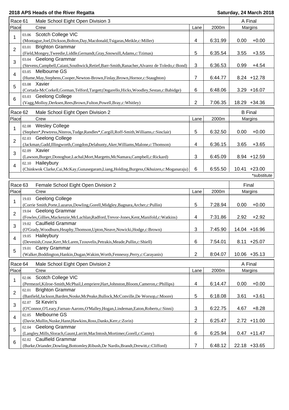| Race 61        |                                                                                                     | Male School Eight Open Division 3                                                                |               |         | A Final      |                 |  |
|----------------|-----------------------------------------------------------------------------------------------------|--------------------------------------------------------------------------------------------------|---------------|---------|--------------|-----------------|--|
| Place          |                                                                                                     | Crew                                                                                             | Lane          | 2000m   | Margins      |                 |  |
|                | 03.06                                                                                               | Scotch College VIC                                                                               |               |         |              |                 |  |
| 1              |                                                                                                     | (Montague,Joel,Dickson,Bolton,Day,Macdonald,Tsigaras,Meikle,c:Miller)                            | 4             | 6:31.99 | 0.00         | $+0.00$         |  |
|                | 03.01                                                                                               | <b>Brighton Grammar</b>                                                                          |               |         |              |                 |  |
| $\overline{2}$ |                                                                                                     | (Field, Mongey, Tweedie, Liddle, Gernandt, Gray, Snowsill, Adams, c: Tzimas)                     | 5             | 6:35.54 | 3.55         | $+3.55$         |  |
| 3<br>4         |                                                                                                     | 03.04 Geelong Grammar                                                                            |               |         |              |                 |  |
|                |                                                                                                     | (Stevens, Campbell, Caiani, Southwick, Retief, Barr-Smith, Ranacher, Alvarez de Toledo, c: Bond) | 3             | 6:36.53 | 0.99         | $+4.54$         |  |
|                |                                                                                                     | 03.05 Melbourne GS                                                                               |               |         |              |                 |  |
|                |                                                                                                     |                                                                                                  | 7             | 6:44.77 |              | 8.24 +12.78     |  |
|                |                                                                                                     | (Hume, May, Stephens, Cooper, Newton-Brown, Finlay, Brown, Hornor, c: Staughton)<br>03.08 Xavier |               |         |              |                 |  |
| 5              |                                                                                                     |                                                                                                  |               |         |              |                 |  |
|                |                                                                                                     | (Cortada-McCorkell, Gorman, Telford, Targett, Ongarello, Hicks, Woodley, Sestan, c: Babidge)     | 6             | 6:48.06 |              | $3.29 + 16.07$  |  |
| 6              | 03.03                                                                                               | <b>Geelong College</b>                                                                           |               |         |              |                 |  |
|                | $\overline{2}$<br>7:06.35<br>(Vagg, Molloy, Derksen, Rees, Brown, Fulton, Powell, Bray, c: Whitley) |                                                                                                  |               |         |              | 18.29 +34.36    |  |
| Race 62        |                                                                                                     | Male School Eight Open Division 2                                                                |               |         |              | <b>B</b> Final  |  |
| Place          | Crew                                                                                                |                                                                                                  | 2000m<br>Lane |         | Margins      |                 |  |
|                |                                                                                                     | <b>Wesley College</b>                                                                            |               |         |              |                 |  |
| 1              | 02.08                                                                                               |                                                                                                  |               |         |              |                 |  |
|                |                                                                                                     | (Stephen*,Pewtress,Niteros,Tudge,Randles*,Cargill,Roff-Smith,Williams,c:Sinclair)                | 5             | 6:32.50 | 0.00         | $+0.00$         |  |
| 2              | 02.03                                                                                               | <b>Geelong College</b>                                                                           |               |         |              |                 |  |
|                |                                                                                                     | (Jackman, Gadd, Illingworth, Congdon, Delahunty, Aker, Williams, Malone, c: Thomson)             | 4             | 6:36.15 | 3.65         | $+3.65$         |  |
| 3              |                                                                                                     | 02.09 Xavier                                                                                     |               |         |              |                 |  |
|                |                                                                                                     | (Lawson, Burger, Donoghue, Lachal, Mort, Margetts, McNamara, Campbell, c: Rickard)               | 3             | 6:45.09 |              | 8.94 +12.59     |  |
| 4              |                                                                                                     | 02.10 Haileybury                                                                                 |               |         |              |                 |  |
|                |                                                                                                     | (Chinkwok Clarke, Cai, McKay, Gunasegaram, Liang, Holding, Burgess, Okhuizen, c: Moganaraju)     | 6             | 6:55.50 | 10.41        | $+23.00$        |  |
|                |                                                                                                     |                                                                                                  |               |         |              | *substitute     |  |
|                |                                                                                                     |                                                                                                  |               |         |              |                 |  |
| Race 63        |                                                                                                     | Female School Eight Open Division 2                                                              | Lane          |         | Final        |                 |  |
| Place          |                                                                                                     | Crew                                                                                             |               | 2000m   | Margins      |                 |  |
| 1              | 19.03                                                                                               | <b>Geelong College</b>                                                                           |               |         |              |                 |  |
|                |                                                                                                     | (Corrie Smith, Porte, Lazarus, Dowling, Gorell, Midgley, Bagnara, Archer, c: Pullin)             | 5             | 7:28.94 | 0.00         | $+0.00$         |  |
| $\overline{2}$ | 19.04                                                                                               | <b>Geelong Grammar</b>                                                                           |               |         |              |                 |  |
|                |                                                                                                     | (Fowles, Gillies, Mackenzie, McLachlan, Radford, Trevor-Jones, Kent, Manifold, c: Watkins)       | 4             | 7:31.86 | 2.92         | $+2.92$         |  |
| 3              |                                                                                                     | 19.02 Caulfield Grammar                                                                          |               |         |              |                 |  |
|                |                                                                                                     | (O'Grady, Woodburn, Heaphy, Thomson, Upton, Neave, Nowicki, Hodge, c: Brown)                     | 3             | 7:45.90 |              | 14.04 +16.96    |  |
|                |                                                                                                     | 19.05 Haileybury                                                                                 |               |         |              |                 |  |
| 4              |                                                                                                     | (Devenish, Cruse, Kerr, McLaren, Tzouvelis, Petrakis, Meade, Pullin, c: Shiell)                  | 6             | 7:54.01 |              | 8.11 +25.07     |  |
| 5              | 19.01                                                                                               | Carey Grammar                                                                                    |               |         |              |                 |  |
|                |                                                                                                     | (Walker, Boddington, Hankin, Dugan, Wakim, Worth, Fennessy, Perry, c: Carayanis)                 | 2             | 8:04.07 |              | $10.06 + 35.13$ |  |
|                |                                                                                                     |                                                                                                  |               |         |              |                 |  |
| Race 64        |                                                                                                     | Male School Eight Open Division 2                                                                |               |         | A Final      |                 |  |
| Place          |                                                                                                     | Crew                                                                                             | Lane          | 2000m   |              | Margins         |  |
| 1              | 02.06                                                                                               | Scotch College VIC                                                                               |               |         |              |                 |  |
|                |                                                                                                     | (Permezel, Kilroe-Smith, McPhail, Lempriere, Hart, Johnston, Bloom, Cameron, c: Phillips)        | 4             | 6:14.47 | 0.00         | $+0.00$         |  |
| $\overline{2}$ | 02.01                                                                                               | <b>Brighton Grammar</b>                                                                          |               |         |              |                 |  |
|                |                                                                                                     | (Banfield,Jackson,Barden,Noske,McPeake,Bullock,McConville,De Worsop,c:Moore)                     | 5             | 6:18.08 | 3.61         | $+3.61$         |  |
| 3<br>4<br>5    |                                                                                                     | 02.07 St Kevin's                                                                                 |               |         |              |                 |  |
|                |                                                                                                     | (O'Connor, O'Leary, Farnan-Aarons, O'Malley, Hogan, Lindeman, Eaton, Roberts, c: Sinni)          | $\sqrt{3}$    | 6:22.75 | 4.67         | $+8.28$         |  |
|                | 02.05                                                                                               | Melbourne GS                                                                                     |               |         |              |                 |  |
|                |                                                                                                     | (Davie, Mullin, Nuske, Hann, Hawkins, Ross, Danks, Kerr, c: Zorin)                               | 2             | 6:25.47 |              | $2.72 + 11.00$  |  |
|                | 02.04                                                                                               | Geelong Grammar                                                                                  |               |         |              |                 |  |
|                |                                                                                                     | (Langley, Mills, Slorach, Gaunt, Larritt, MacIntosh, Mortimer, Gorell, c: Canny)                 | 6             | 6:25.94 |              | $0.47 + 11.47$  |  |
|                | 02.02                                                                                               | Caulfield Grammar                                                                                |               |         |              |                 |  |
| 6              |                                                                                                     | (Burke, Oriander, Dowling, Bottomley, Ribush, De Nardis, Brandt, Drewitt, c: Clifford)           | 7             | 6:48.12 | 22.18 +33.65 |                 |  |
|                |                                                                                                     |                                                                                                  |               |         |              |                 |  |